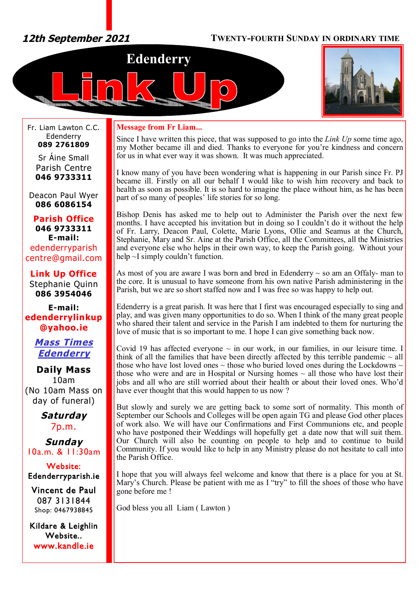# *12th September 2021* **TWENTY-FOURTH SUNDAY IN ORDINARY TIME**





Fr. Liam Lawton C.C. Edenderry **089 2761809**

Sr Áine Small Parish Centre **046 9733311**

Deacon Paul Wyer **086 6086154**

**Parish Office 046 9733311 E-mail:** edenderryparish [centre@gmail.com](mailto:centre@gmail.com)

**Link Up Office** Stephanie Quinn **086 3954046**

**E-mail: edenderrylinkup [@yahoo.ie](mailto:@yahoo.ie)**

> *Mass Times Edenderry*

**Daily Mass** 10am (No 10am Mass on day of funeral)

> *Saturday* 7p.m.

*Sunday* 10a.m. & 11:30am

**Website: Edenderryparish.ie**

**Vincent de Paul**  087 3131844 Shop: 0467938845

**Kildare & Leighlin Website.. [www.kandle.ie](http://www.kandle.ie)** 

## **Message from Fr Liam...**

Since I have written this piece, that was supposed to go into the *Link Up* some time ago, my Mother became ill and died. Thanks to everyone for you're kindness and concern for us in what ever way it was shown. It was much appreciated.

I know many of you have been wondering what is happening in our Parish since Fr. PJ became ill. Firstly on all our behalf I would like to wish him recovery and back to health as soon as possible. It is so hard to imagine the place without him, as he has been part of so many of peoples' life stories for so long.

Bishop Denis has asked me to help out to Administer the Parish over the next few months. I have accepted his invitation but in doing so I couldn't do it without the help of Fr. Larry, Deacon Paul, Colette, Marie Lyons, Ollie and Seamus at the Church, Stephanie, Mary and Sr. Aine at the Parish Office, all the Committees, all the Ministries and everyone else who helps in their own way, to keep the Parish going. Without your help  $\sim$ I simply couldn't function.

As most of you are aware I was born and bred in Edenderry  $\sim$  so am an Offaly- man to the core. It is unusual to have someone from his own native Parish administering in the Parish, but we are so short staffed now and I was free so was happy to help out.

Edenderry is a great parish. It was here that I first was encouraged especially to sing and play, and was given many opportunities to do so. When I think of the many great people who shared their talent and service in the Parish I am indebted to them for nurturing the love of music that is so important to me. I hope I can give something back now.

Covid 19 has affected everyone  $\sim$  in our work, in our families, in our leisure time. I think of all the families that have been directly affected by this terrible pandemic  $\sim$  all those who have lost loved ones  $\sim$  those who buried loved ones during the Lockdowns  $\sim$ those who were and are in Hospital or Nursing homes  $\sim$  all those who have lost their jobs and all who are still worried about their health or about their loved ones. Who'd have ever thought that this would happen to us now?

But slowly and surely we are getting back to some sort of normality. This month of September our Schools and Colleges will be open again TG and please God other places of work also. We will have our Confirmations and First Communions etc, and people who have postponed their Weddings will hopefully get a date now that will suit them. Our Church will also be counting on people to help and to continue to build Community. If you would like to help in any Ministry please do not hesitate to call into the Parish Office.

I hope that you will always feel welcome and know that there is a place for you at St. Mary's Church. Please be patient with me as I "try" to fill the shoes of those who have gone before me !

God bless you all Liam ( Lawton )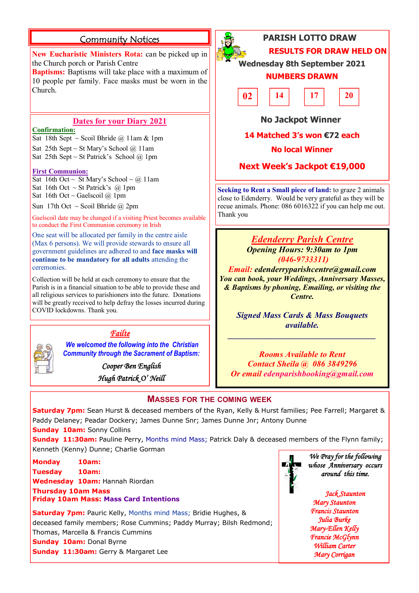# **Community Notices**

**New Eucharistic Ministers Rota:** can be picked up in the Church porch or Parish Centre

**Baptisms:** Baptisms will take place with a maximum of 10 people per family. Face masks must be worn in the Church.

# **Dates for your Diary 2021**

#### **Confirmation:**

Sat 18th Sept ~ Scoil Bhríde @ 11am & 1pm Sat 25th Sept ~ St Mary's School @ 11am Sat 25th Sept ~ St Patrick's School  $@$  1pm

#### **First Communion:**

Sat 16th Oct ~ St Mary's School ~ @ 11am Sat 16th Oct  $\sim$  St Patrick's @ 1pm Sat 16th Oct ~ Gaelscoil  $@$  1pm

Sun 17th Oct ~ Scoil Bhríde @ 2pm

Gaelscoil date may be changed if a visiting Priest becomes available to conduct the First Communion ceremony in Irish

One seat will be allocated per family in the centre aisle (Max 6 persons). We will provide stewards to ensure all government guidelines are adhered to and **face masks will continue to be mandatory for all adults** attending the ceremonies.

Collection will be held at each ceremony to ensure that the Parish is in a financial situation to be able to provide these and all religious services to parishioners into the future. Donations will be greatly received to help defray the losses incurred during COVID lockdowns. Thank you.



# *Failte*

*We welcomed the following into the Christian Community through the Sacrament of Baptism:*

> *Cooper Ben English Hugh Patrick O' Neill*



# **PARISH LOTTO DRAW RESULTS FOR DRAW HELD ON**

**Wednesday 8th September 2021**

# **NUMBERS DRAWN**



# **No Jackpot Winner**

# **14 Matched 3's won €72 each**

## **No local Winner**

# **Next Week's Jackpot €19,000**

**Seeking to Rent a Small piece of land:** to graze 2 animals close to Edenderry. Would be very grateful as they will be recue animals. Phone: 086 6016322 if you can help me out. Thank you

> *Edenderry Parish Centre Opening Hours: 9:30am to 1pm (046-9733311)*

*Email: [edenderryparishcentre@gmail.com](mailto:edenderryparishcentre@gmail.com) You can book, your Weddings, Anniversary Masses, & Baptisms by phoning, Emailing, or visiting the Centre.* 

> *Signed Mass Cards & Mass Bouquets available.*

*\_\_\_\_\_\_\_\_\_\_\_\_\_\_\_\_\_\_\_\_\_\_\_\_\_\_\_\_\_\_\_\_\_\_\_*

*Rooms Available to Rent Contact Sheila @ 086 3849296 Or email [edenparishbooking@gmail.com](mailto:edenparishbooking@gmail.com)*

# **MASSES FOR THE COMING WEEK**

**Saturday 7pm:** Sean Hurst & deceased members of the Ryan, Kelly & Hurst families; Pee Farrell; Margaret & Paddy Delaney; Peadar Dockery; James Dunne Snr; James Dunne Jnr; Antony Dunne **Sunday 10am:** Sonny Collins

**Sunday 11:30am:** Pauline Perry, Months mind Mass; Patrick Daly & deceased members of the Flynn family; Kenneth (Kenny) Dunne; Charlie Gorman

**Monday 10am: Tuesday 10am: Wednesday 10am:** Hannah Riordan **Thursday 10am Mass Friday 10am Mass: Mass Card Intentions**

**Saturday 7pm:** Pauric Kelly, Months mind Mass; Bridie Hughes, & deceased family members; Rose Cummins; Paddy Murray; Bilsh Redmond; Thomas, Marcella & Francis Cummins **Sunday 10am: Donal Byrne Sunday 11:30am:** Gerry & Margaret Lee



*We Pray for the following whose Anniversary occurs around this time.* 

#### *Jack Staunton Mary Staunton Francis Staunton Julia Burke Mary-Ellen Kelly Francie McGlynn William Carter Mary Corrigan*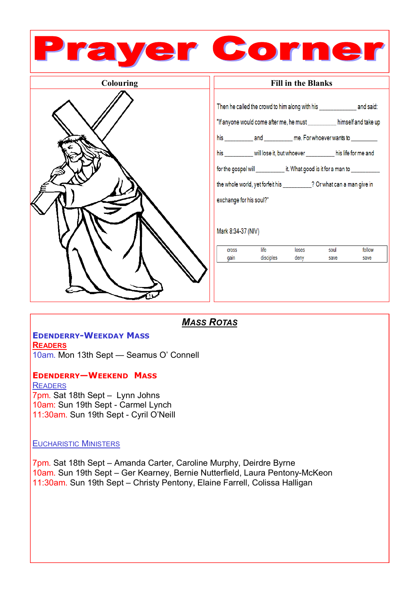

*MASS ROTAS*

## **EDENDERRY-WEEKDAY MASS READERS**

10am. Mon 13th Sept — Seamus O' Connell

**EDENDERRY—WEEKEND MASS READERS** 

7pm. Sat 18th Sept – Lynn Johns 10am: Sun 19th Sept - Carmel Lynch 11:30am. Sun 19th Sept - Cyril O'Neill

# EUCHARISTIC MINISTERS

7pm. Sat 18th Sept – Amanda Carter, Caroline Murphy, Deirdre Byrne 10am. Sun 19th Sept – Ger Kearney, Bernie Nutterfield, Laura Pentony-McKeon 11:30am. Sun 19th Sept – Christy Pentony, Elaine Farrell, Colissa Halligan